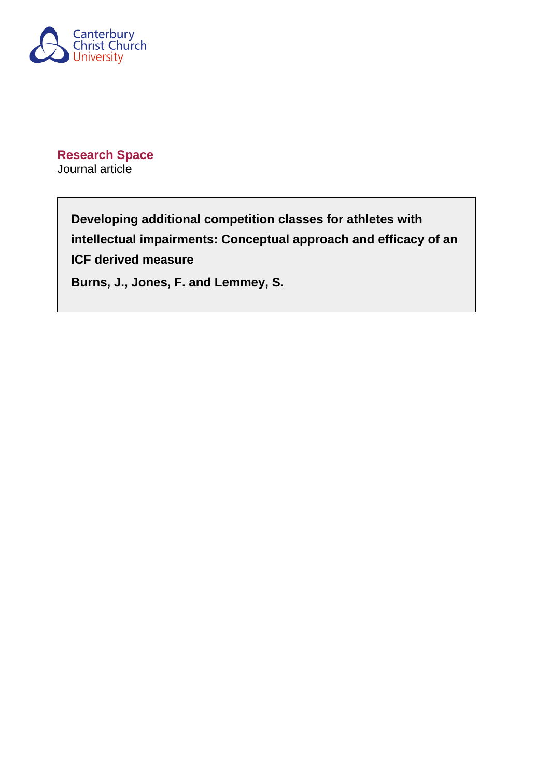

**Research Space** Journal article

> **Developing additional competition classes for athletes with intellectual impairments: Conceptual approach and efficacy of an ICF derived measure**

**Burns, J., Jones, F. and Lemmey, S.**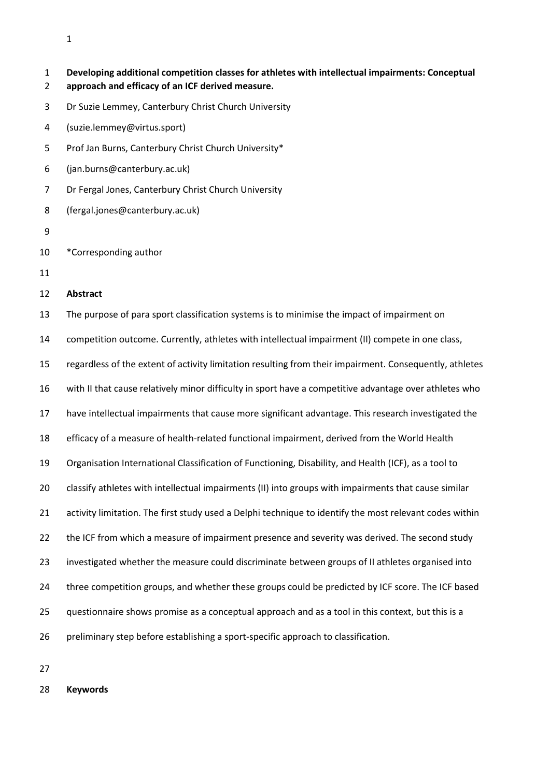| $\mathbf{1}$<br>$\overline{2}$ | Developing additional competition classes for athletes with intellectual impairments: Conceptual<br>approach and efficacy of an ICF derived measure. |
|--------------------------------|------------------------------------------------------------------------------------------------------------------------------------------------------|
| 3                              | Dr Suzie Lemmey, Canterbury Christ Church University                                                                                                 |
| 4                              | (suzie.lemmey@virtus.sport)                                                                                                                          |
| 5                              | Prof Jan Burns, Canterbury Christ Church University*                                                                                                 |
| 6                              | (jan.burns@canterbury.ac.uk)                                                                                                                         |
| $\overline{7}$                 | Dr Fergal Jones, Canterbury Christ Church University                                                                                                 |
| 8                              | (fergal.jones@canterbury.ac.uk)                                                                                                                      |
| 9                              |                                                                                                                                                      |
| 10                             | *Corresponding author                                                                                                                                |
| 11                             |                                                                                                                                                      |
| 12                             | <b>Abstract</b>                                                                                                                                      |
| 13                             | The purpose of para sport classification systems is to minimise the impact of impairment on                                                          |
| 14                             | competition outcome. Currently, athletes with intellectual impairment (II) compete in one class,                                                     |
| 15                             | regardless of the extent of activity limitation resulting from their impairment. Consequently, athletes                                              |
| 16                             | with II that cause relatively minor difficulty in sport have a competitive advantage over athletes who                                               |
| 17                             | have intellectual impairments that cause more significant advantage. This research investigated the                                                  |
| 18                             | efficacy of a measure of health-related functional impairment, derived from the World Health                                                         |
| 19                             | Organisation International Classification of Functioning, Disability, and Health (ICF), as a tool to                                                 |
| 20                             | classify athletes with intellectual impairments (II) into groups with impairments that cause similar                                                 |
| 21                             | activity limitation. The first study used a Delphi technique to identify the most relevant codes within                                              |
| 22                             | the ICF from which a measure of impairment presence and severity was derived. The second study                                                       |
| 23                             | investigated whether the measure could discriminate between groups of II athletes organised into                                                     |
| 24                             | three competition groups, and whether these groups could be predicted by ICF score. The ICF based                                                    |
| 25                             | questionnaire shows promise as a conceptual approach and as a tool in this context, but this is a                                                    |
| 26                             | preliminary step before establishing a sport-specific approach to classification.                                                                    |

**Keywords**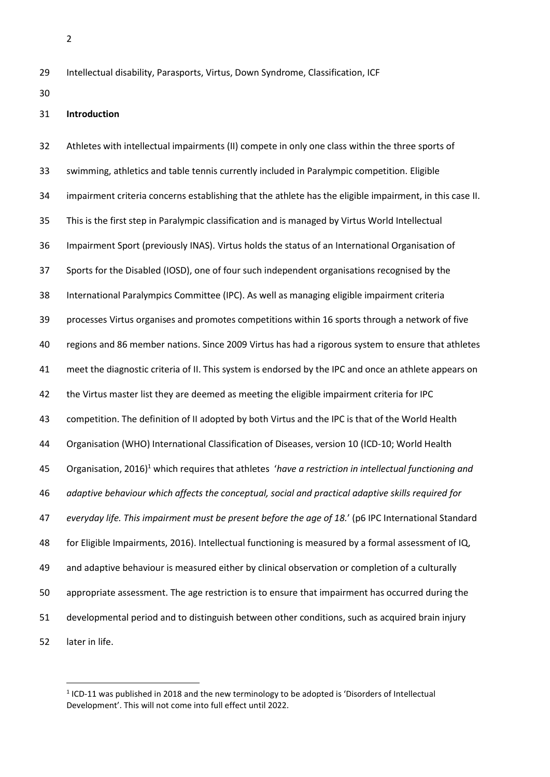- Intellectual disability, Parasports, Virtus, Down Syndrome, Classification, ICF
- 

## **Introduction**

 Athletes with intellectual impairments (II) compete in only one class within the three sports of swimming, athletics and table tennis currently included in Paralympic competition. Eligible impairment criteria concerns establishing that the athlete has the eligible impairment, in this case II. This is the first step in Paralympic classification and is managed by Virtus World Intellectual Impairment Sport (previously INAS). Virtus holds the status of an International Organisation of Sports for the Disabled (IOSD), one of four such independent organisations recognised by the International Paralympics Committee (IPC). As well as managing eligible impairment criteria processes Virtus organises and promotes competitions within 16 sports through a network of five regions and 86 member nations. Since 2009 Virtus has had a rigorous system to ensure that athletes meet the diagnostic criteria of II. This system is endorsed by the IPC and once an athlete appears on the Virtus master list they are deemed as meeting the eligible impairment criteria for IPC competition. The definition of II adopted by both Virtus and the IPC is that of the World Health Organisation (WHO) International Classification of Diseases, version 10 (ICD-10; World Health Organisation, 2016)<sup>1</sup> which requires that athletes '*have a restriction in intellectual functioning and adaptive behaviour which affects the conceptual, social and practical adaptive skills required for everyday life. This impairment must be present before the age of 18.*' (p6 IPC International Standard for Eligible Impairments, 2016). Intellectual functioning is measured by a formal assessment of IQ, and adaptive behaviour is measured either by clinical observation or completion of a culturally appropriate assessment. The age restriction is to ensure that impairment has occurred during the developmental period and to distinguish between other conditions, such as acquired brain injury later in life.

<sup>&</sup>lt;sup>1</sup> ICD-11 was published in 2018 and the new terminology to be adopted is 'Disorders of Intellectual Development'. This will not come into full effect until 2022.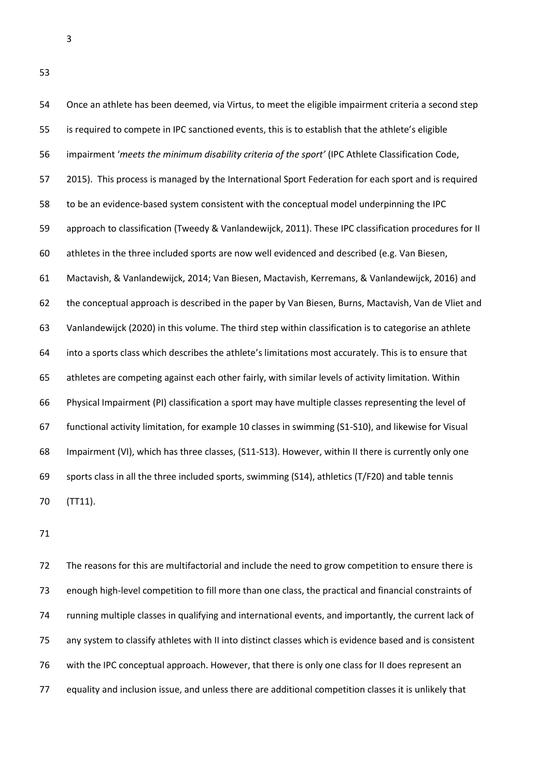Once an athlete has been deemed, via Virtus, to meet the eligible impairment criteria a second step is required to compete in IPC sanctioned events, this is to establish that the athlete's eligible impairment '*meets the minimum disability criteria of the sport'* (IPC Athlete Classification Code, 2015). This process is managed by the International Sport Federation for each sport and is required to be an evidence-based system consistent with the conceptual model underpinning the IPC approach to classification (Tweedy & Vanlandewijck, 2011). These IPC classification procedures for II athletes in the three included sports are now well evidenced and described (e.g. Van Biesen, Mactavish, & Vanlandewijck, 2014; Van Biesen, Mactavish, Kerremans, & Vanlandewijck, 2016) and the conceptual approach is described in the paper by Van Biesen, Burns, Mactavish, Van de Vliet and Vanlandewijck (2020) in this volume. The third step within classification is to categorise an athlete into a sports class which describes the athlete's limitations most accurately. This is to ensure that athletes are competing against each other fairly, with similar levels of activity limitation. Within Physical Impairment (PI) classification a sport may have multiple classes representing the level of functional activity limitation, for example 10 classes in swimming (S1-S10), and likewise for Visual Impairment (VI), which has three classes, (S11-S13). However, within II there is currently only one sports class in all the three included sports, swimming (S14), athletics (T/F20) and table tennis (TT11).

 The reasons for this are multifactorial and include the need to grow competition to ensure there is enough high-level competition to fill more than one class, the practical and financial constraints of running multiple classes in qualifying and international events, and importantly, the current lack of any system to classify athletes with II into distinct classes which is evidence based and is consistent with the IPC conceptual approach. However, that there is only one class for II does represent an equality and inclusion issue, and unless there are additional competition classes it is unlikely that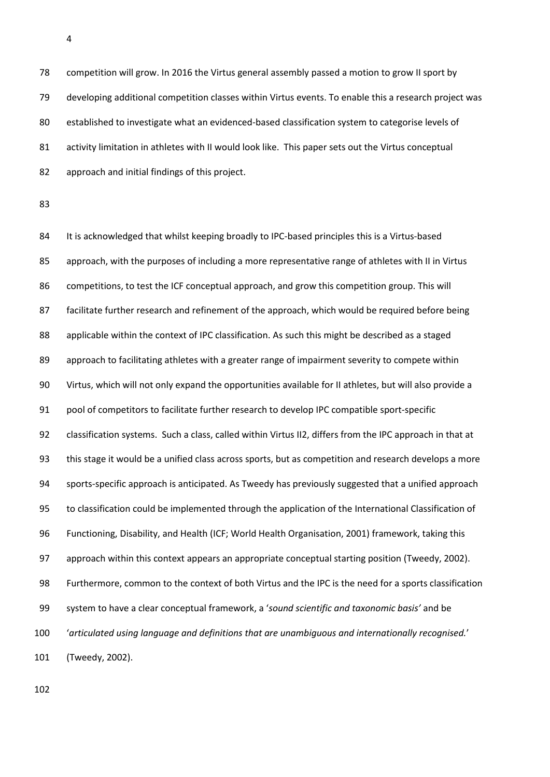competition will grow. In 2016 the Virtus general assembly passed a motion to grow II sport by developing additional competition classes within Virtus events. To enable this a research project was 80 established to investigate what an evidenced-based classification system to categorise levels of 81 activity limitation in athletes with II would look like. This paper sets out the Virtus conceptual approach and initial findings of this project.

84 It is acknowledged that whilst keeping broadly to IPC-based principles this is a Virtus-based approach, with the purposes of including a more representative range of athletes with II in Virtus competitions, to test the ICF conceptual approach, and grow this competition group. This will facilitate further research and refinement of the approach, which would be required before being applicable within the context of IPC classification. As such this might be described as a staged 89 approach to facilitating athletes with a greater range of impairment severity to compete within Virtus, which will not only expand the opportunities available for II athletes, but will also provide a pool of competitors to facilitate further research to develop IPC compatible sport-specific classification systems. Such a class, called within Virtus II2, differs from the IPC approach in that at this stage it would be a unified class across sports, but as competition and research develops a more sports-specific approach is anticipated. As Tweedy has previously suggested that a unified approach to classification could be implemented through the application of the International Classification of Functioning, Disability, and Health (ICF; World Health Organisation, 2001) framework, taking this approach within this context appears an appropriate conceptual starting position (Tweedy, 2002). Furthermore, common to the context of both Virtus and the IPC is the need for a sports classification system to have a clear conceptual framework, a '*sound scientific and taxonomic basis'* and be '*articulated using language and definitions that are unambiguous and internationally recognised.*' (Tweedy, 2002).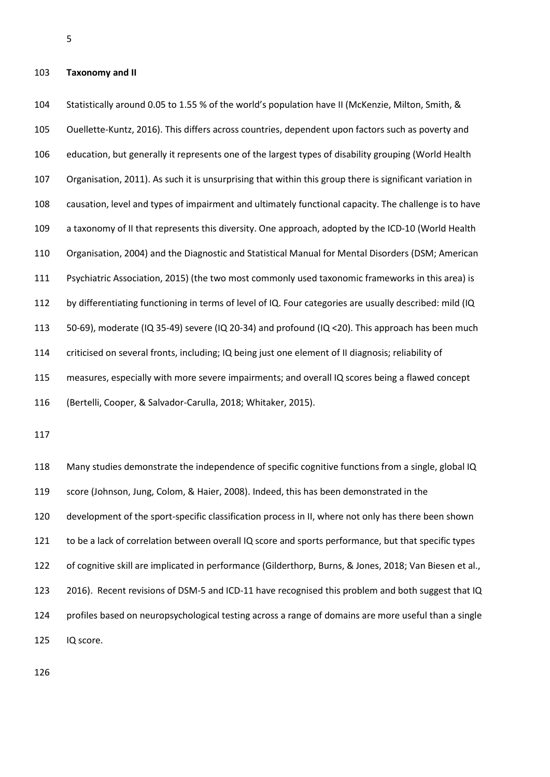## **Taxonomy and II**

 Statistically around 0.05 to 1.55 % of the world's population have II (McKenzie, Milton, Smith, & Ouellette-Kuntz, 2016). This differs across countries, dependent upon factors such as poverty and education, but generally it represents one of the largest types of disability grouping (World Health Organisation, 2011). As such it is unsurprising that within this group there is significant variation in causation, level and types of impairment and ultimately functional capacity. The challenge is to have a taxonomy of II that represents this diversity. One approach, adopted by the ICD-10 (World Health Organisation, 2004) and the Diagnostic and Statistical Manual for Mental Disorders (DSM; American Psychiatric Association, 2015) (the two most commonly used taxonomic frameworks in this area) is by differentiating functioning in terms of level of IQ. Four categories are usually described: mild (IQ 50-69), moderate (IQ 35-49) severe (IQ 20-34) and profound (IQ <20). This approach has been much criticised on several fronts, including; IQ being just one element of II diagnosis; reliability of measures, especially with more severe impairments; and overall IQ scores being a flawed concept (Bertelli, Cooper, & Salvador-Carulla, 2018; Whitaker, 2015).

 Many studies demonstrate the independence of specific cognitive functions from a single, global IQ score (Johnson, Jung, Colom, & Haier, 2008). Indeed, this has been demonstrated in the development of the sport-specific classification process in II, where not only has there been shown to be a lack of correlation between overall IQ score and sports performance, but that specific types of cognitive skill are implicated in performance (Gilderthorp, Burns, & Jones, 2018; Van Biesen et al., 2016). Recent revisions of DSM-5 and ICD-11 have recognised this problem and both suggest that IQ profiles based on neuropsychological testing across a range of domains are more useful than a single IQ score.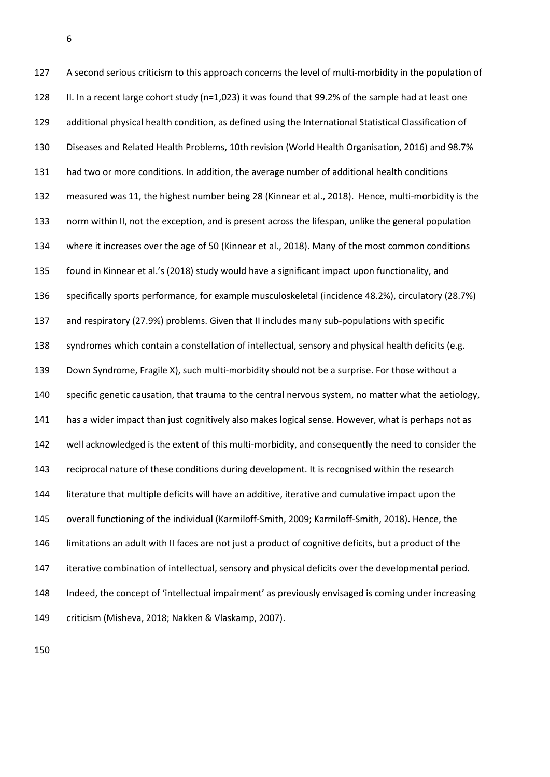A second serious criticism to this approach concerns the level of multi-morbidity in the population of II. In a recent large cohort study (n=1,023) it was found that 99.2% of the sample had at least one additional physical health condition, as defined using the International Statistical Classification of Diseases and Related Health Problems, 10th revision (World Health Organisation, 2016) and 98.7% had two or more conditions. In addition, the average number of additional health conditions measured was 11, the highest number being 28 (Kinnear et al., 2018). Hence, multi-morbidity is the norm within II, not the exception, and is present across the lifespan, unlike the general population where it increases over the age of 50 (Kinnear et al., 2018). Many of the most common conditions found in Kinnear et al.'s (2018) study would have a significant impact upon functionality, and specifically sports performance, for example musculoskeletal (incidence 48.2%), circulatory (28.7%) and respiratory (27.9%) problems. Given that II includes many sub-populations with specific syndromes which contain a constellation of intellectual, sensory and physical health deficits (e.g. Down Syndrome, Fragile X), such multi-morbidity should not be a surprise. For those without a specific genetic causation, that trauma to the central nervous system, no matter what the aetiology, has a wider impact than just cognitively also makes logical sense. However, what is perhaps not as well acknowledged is the extent of this multi-morbidity, and consequently the need to consider the 143 reciprocal nature of these conditions during development. It is recognised within the research literature that multiple deficits will have an additive, iterative and cumulative impact upon the overall functioning of the individual (Karmiloff-Smith, 2009; Karmiloff-Smith, 2018). Hence, the limitations an adult with II faces are not just a product of cognitive deficits, but a product of the iterative combination of intellectual, sensory and physical deficits over the developmental period. Indeed, the concept of 'intellectual impairment' as previously envisaged is coming under increasing criticism (Misheva, 2018; Nakken & Vlaskamp, 2007).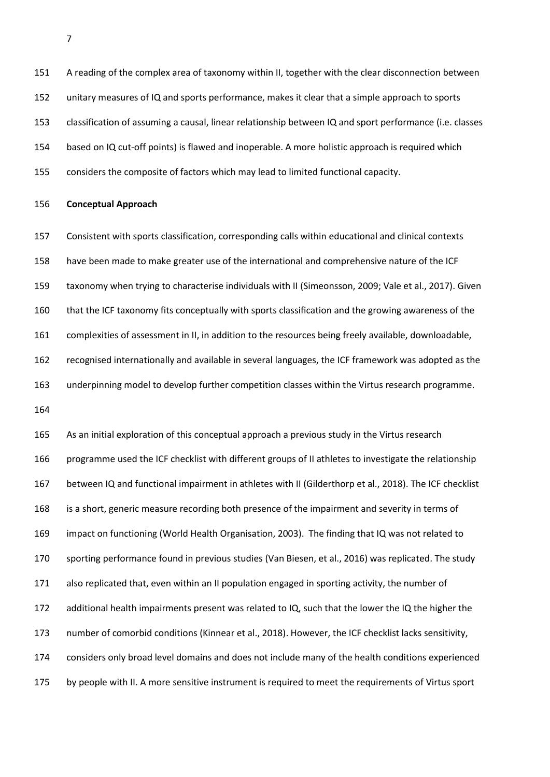A reading of the complex area of taxonomy within II, together with the clear disconnection between unitary measures of IQ and sports performance, makes it clear that a simple approach to sports classification of assuming a causal, linear relationship between IQ and sport performance (i.e. classes based on IQ cut-off points) is flawed and inoperable. A more holistic approach is required which considers the composite of factors which may lead to limited functional capacity.

#### **Conceptual Approach**

 Consistent with sports classification, corresponding calls within educational and clinical contexts have been made to make greater use of the international and comprehensive nature of the ICF taxonomy when trying to characterise individuals with II (Simeonsson, 2009; Vale et al., 2017). Given that the ICF taxonomy fits conceptually with sports classification and the growing awareness of the complexities of assessment in II, in addition to the resources being freely available, downloadable, recognised internationally and available in several languages, the ICF framework was adopted as the underpinning model to develop further competition classes within the Virtus research programme. 

 As an initial exploration of this conceptual approach a previous study in the Virtus research programme used the ICF checklist with different groups of II athletes to investigate the relationship between IQ and functional impairment in athletes with II (Gilderthorp et al., 2018). The ICF checklist is a short, generic measure recording both presence of the impairment and severity in terms of impact on functioning (World Health Organisation, 2003). The finding that IQ was not related to sporting performance found in previous studies (Van Biesen, et al., 2016) was replicated. The study also replicated that, even within an II population engaged in sporting activity, the number of additional health impairments present was related to IQ, such that the lower the IQ the higher the number of comorbid conditions (Kinnear et al., 2018). However, the ICF checklist lacks sensitivity, considers only broad level domains and does not include many of the health conditions experienced by people with II. A more sensitive instrument is required to meet the requirements of Virtus sport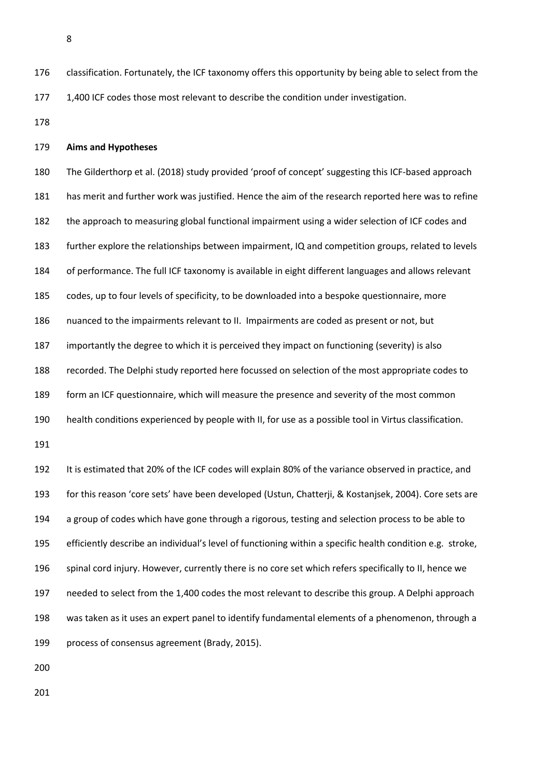- classification. Fortunately, the ICF taxonomy offers this opportunity by being able to select from the 1,400 ICF codes those most relevant to describe the condition under investigation.
- 

## **Aims and Hypotheses**

 The Gilderthorp et al. (2018) study provided 'proof of concept' suggesting this ICF-based approach has merit and further work was justified. Hence the aim of the research reported here was to refine the approach to measuring global functional impairment using a wider selection of ICF codes and further explore the relationships between impairment, IQ and competition groups, related to levels of performance. The full ICF taxonomy is available in eight different languages and allows relevant codes, up to four levels of specificity, to be downloaded into a bespoke questionnaire, more nuanced to the impairments relevant to II. Impairments are coded as present or not, but importantly the degree to which it is perceived they impact on functioning (severity) is also recorded. The Delphi study reported here focussed on selection of the most appropriate codes to form an ICF questionnaire, which will measure the presence and severity of the most common health conditions experienced by people with II, for use as a possible tool in Virtus classification. 

 It is estimated that 20% of the ICF codes will explain 80% of the variance observed in practice, and for this reason 'core sets' have been developed (Ustun, Chatterji, & Kostanjsek, 2004). Core sets are a group of codes which have gone through a rigorous, testing and selection process to be able to efficiently describe an individual's level of functioning within a specific health condition e.g. stroke, spinal cord injury. However, currently there is no core set which refers specifically to II, hence we needed to select from the 1,400 codes the most relevant to describe this group. A Delphi approach was taken as it uses an expert panel to identify fundamental elements of a phenomenon, through a process of consensus agreement (Brady, 2015).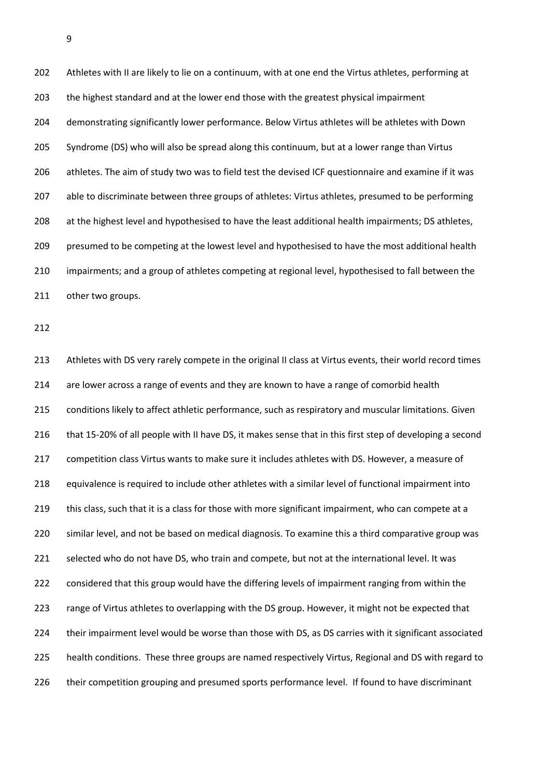202 Athletes with II are likely to lie on a continuum, with at one end the Virtus athletes, performing at the highest standard and at the lower end those with the greatest physical impairment demonstrating significantly lower performance. Below Virtus athletes will be athletes with Down Syndrome (DS) who will also be spread along this continuum, but at a lower range than Virtus athletes. The aim of study two was to field test the devised ICF questionnaire and examine if it was able to discriminate between three groups of athletes: Virtus athletes, presumed to be performing at the highest level and hypothesised to have the least additional health impairments; DS athletes, 209 presumed to be competing at the lowest level and hypothesised to have the most additional health impairments; and a group of athletes competing at regional level, hypothesised to fall between the other two groups.

 Athletes with DS very rarely compete in the original II class at Virtus events, their world record times 214 are lower across a range of events and they are known to have a range of comorbid health 215 conditions likely to affect athletic performance, such as respiratory and muscular limitations. Given that 15-20% of all people with II have DS, it makes sense that in this first step of developing a second competition class Virtus wants to make sure it includes athletes with DS. However, a measure of equivalence is required to include other athletes with a similar level of functional impairment into 219 this class, such that it is a class for those with more significant impairment, who can compete at a similar level, and not be based on medical diagnosis. To examine this a third comparative group was selected who do not have DS, who train and compete, but not at the international level. It was considered that this group would have the differing levels of impairment ranging from within the range of Virtus athletes to overlapping with the DS group. However, it might not be expected that their impairment level would be worse than those with DS, as DS carries with it significant associated health conditions. These three groups are named respectively Virtus, Regional and DS with regard to their competition grouping and presumed sports performance level. If found to have discriminant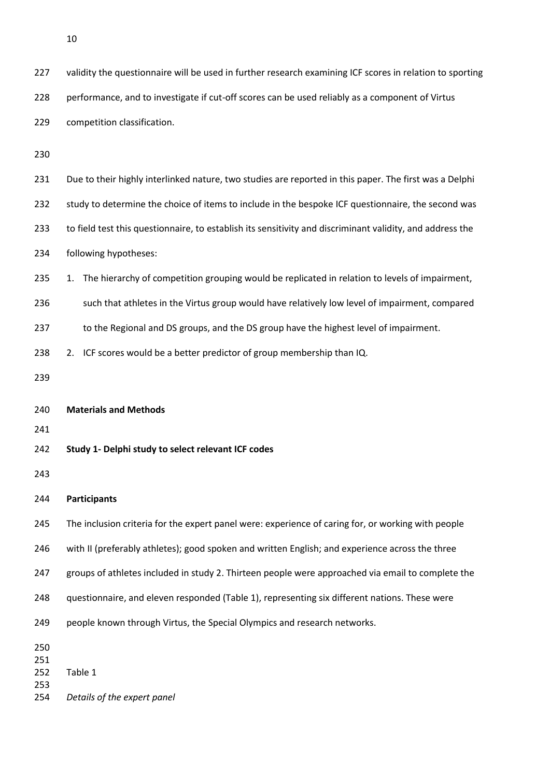| 227        | validity the questionnaire will be used in further research examining ICF scores in relation to sporting  |
|------------|-----------------------------------------------------------------------------------------------------------|
| 228        | performance, and to investigate if cut-off scores can be used reliably as a component of Virtus           |
| 229        | competition classification.                                                                               |
| 230        |                                                                                                           |
| 231        | Due to their highly interlinked nature, two studies are reported in this paper. The first was a Delphi    |
| 232        | study to determine the choice of items to include in the bespoke ICF questionnaire, the second was        |
| 233        | to field test this questionnaire, to establish its sensitivity and discriminant validity, and address the |
| 234        | following hypotheses:                                                                                     |
| 235        | The hierarchy of competition grouping would be replicated in relation to levels of impairment,<br>1.      |
| 236        | such that athletes in the Virtus group would have relatively low level of impairment, compared            |
| 237        | to the Regional and DS groups, and the DS group have the highest level of impairment.                     |
| 238        | 2. ICF scores would be a better predictor of group membership than IQ.                                    |
| 239        |                                                                                                           |
| 240        | <b>Materials and Methods</b>                                                                              |
| 241        |                                                                                                           |
| 242        | Study 1- Delphi study to select relevant ICF codes                                                        |
| 243        |                                                                                                           |
| 244        | <b>Participants</b>                                                                                       |
| 245        | The inclusion criteria for the expert panel were: experience of caring for, or working with people        |
| 246        | with II (preferably athletes); good spoken and written English; and experience across the three           |
| 247        | groups of athletes included in study 2. Thirteen people were approached via email to complete the         |
| 248        | questionnaire, and eleven responded (Table 1), representing six different nations. These were             |
| 249        | people known through Virtus, the Special Olympics and research networks.                                  |
| 250        |                                                                                                           |
| 251<br>252 | Table 1                                                                                                   |
| 253<br>254 | Details of the expert panel                                                                               |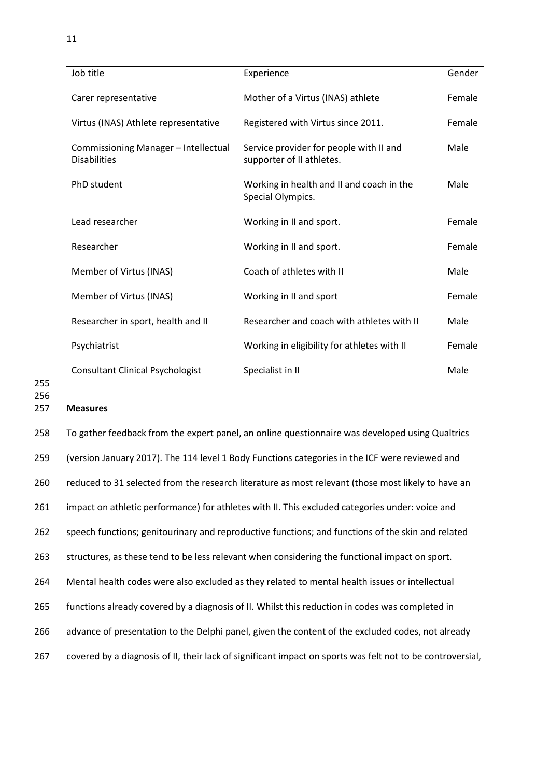| Job title                                                   | <b>Experience</b>                                                    | Gender |
|-------------------------------------------------------------|----------------------------------------------------------------------|--------|
| Carer representative                                        | Mother of a Virtus (INAS) athlete                                    | Female |
| Virtus (INAS) Athlete representative                        | Registered with Virtus since 2011.                                   | Female |
| Commissioning Manager - Intellectual<br><b>Disabilities</b> | Service provider for people with II and<br>supporter of II athletes. | Male   |
| PhD student                                                 | Working in health and II and coach in the<br>Special Olympics.       | Male   |
| Lead researcher                                             | Working in II and sport.                                             | Female |
| Researcher                                                  | Working in II and sport.                                             | Female |
| Member of Virtus (INAS)                                     | Coach of athletes with II                                            | Male   |
| Member of Virtus (INAS)                                     | Working in II and sport                                              | Female |
| Researcher in sport, health and II                          | Researcher and coach with athletes with II                           | Male   |
| Psychiatrist                                                | Working in eligibility for athletes with II                          | Female |
| <b>Consultant Clinical Psychologist</b>                     | Specialist in II                                                     | Male   |

256

## 257 **Measures**

 To gather feedback from the expert panel, an online questionnaire was developed using Qualtrics (version January 2017). The 114 level 1 Body Functions categories in the ICF were reviewed and reduced to 31 selected from the research literature as most relevant (those most likely to have an impact on athletic performance) for athletes with II. This excluded categories under: voice and speech functions; genitourinary and reproductive functions; and functions of the skin and related structures, as these tend to be less relevant when considering the functional impact on sport. Mental health codes were also excluded as they related to mental health issues or intellectual functions already covered by a diagnosis of II. Whilst this reduction in codes was completed in advance of presentation to the Delphi panel, given the content of the excluded codes, not already covered by a diagnosis of II, their lack of significant impact on sports was felt not to be controversial,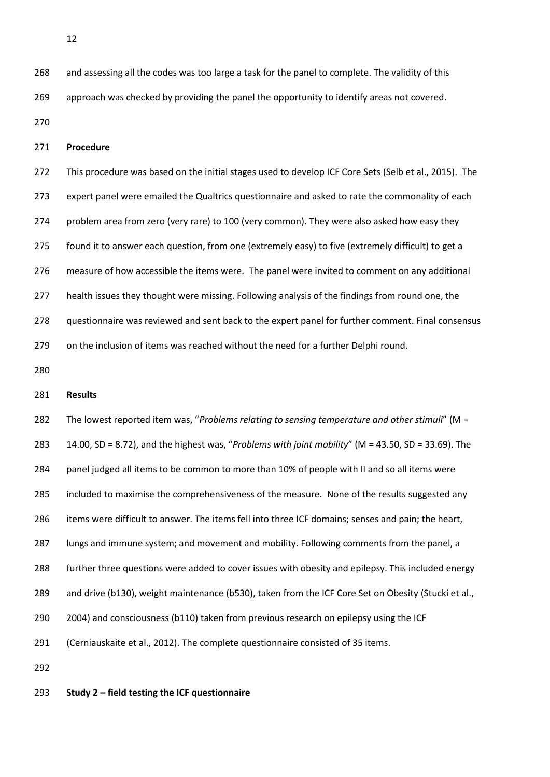268 and assessing all the codes was too large a task for the panel to complete. The validity of this approach was checked by providing the panel the opportunity to identify areas not covered.

## **Procedure**

 This procedure was based on the initial stages used to develop ICF Core Sets (Selb et al., 2015). The expert panel were emailed the Qualtrics questionnaire and asked to rate the commonality of each problem area from zero (very rare) to 100 (very common). They were also asked how easy they found it to answer each question, from one (extremely easy) to five (extremely difficult) to get a measure of how accessible the items were. The panel were invited to comment on any additional health issues they thought were missing. Following analysis of the findings from round one, the questionnaire was reviewed and sent back to the expert panel for further comment. Final consensus on the inclusion of items was reached without the need for a further Delphi round.

#### **Results**

 The lowest reported item was, "*Problems relating to sensing temperature and other stimuli*" (M = 14.00, SD = 8.72), and the highest was, "*Problems with joint mobility*" (M = 43.50, SD = 33.69). The panel judged all items to be common to more than 10% of people with II and so all items were 285 included to maximise the comprehensiveness of the measure. None of the results suggested any items were difficult to answer. The items fell into three ICF domains; senses and pain; the heart, lungs and immune system; and movement and mobility. Following comments from the panel, a further three questions were added to cover issues with obesity and epilepsy. This included energy and drive (b130), weight maintenance (b530), taken from the ICF Core Set on Obesity (Stucki et al., 2004) and consciousness (b110) taken from previous research on epilepsy using the ICF (Cerniauskaite et al., 2012). The complete questionnaire consisted of 35 items. 

**Study 2 – field testing the ICF questionnaire**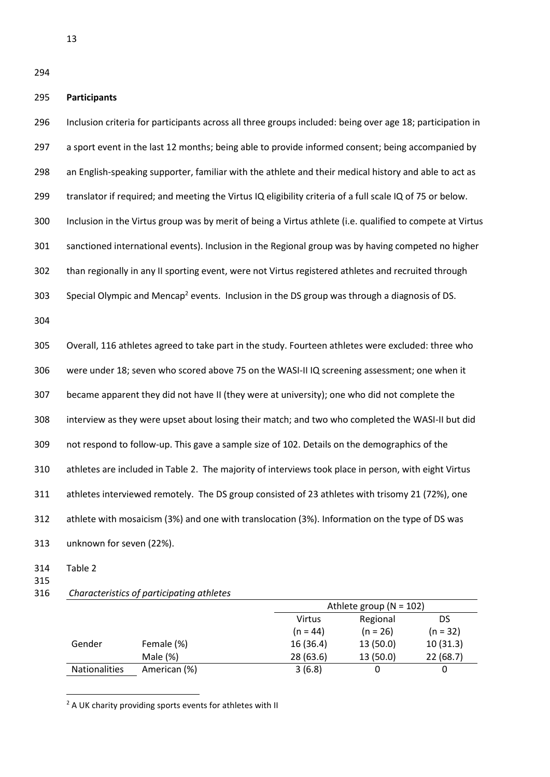## **Participants**

 Inclusion criteria for participants across all three groups included: being over age 18; participation in 297 a sport event in the last 12 months; being able to provide informed consent; being accompanied by an English-speaking supporter, familiar with the athlete and their medical history and able to act as translator if required; and meeting the Virtus IQ eligibility criteria of a full scale IQ of 75 or below. Inclusion in the Virtus group was by merit of being a Virtus athlete (i.e. qualified to compete at Virtus sanctioned international events). Inclusion in the Regional group was by having competed no higher than regionally in any II sporting event, were not Virtus registered athletes and recruited through Special Olympic and Mencap<sup>2</sup> events. Inclusion in the DS group was through a diagnosis of DS. Overall, 116 athletes agreed to take part in the study. Fourteen athletes were excluded: three who were under 18; seven who scored above 75 on the WASI-II IQ screening assessment; one when it became apparent they did not have II (they were at university); one who did not complete the interview as they were upset about losing their match; and two who completed the WASI-II but did not respond to follow-up. This gave a sample size of 102. Details on the demographics of the athletes are included in Table 2. The majority of interviews took place in person, with eight Virtus athletes interviewed remotely. The DS group consisted of 23 athletes with trisomy 21 (72%), one

athlete with mosaicism (3%) and one with translocation (3%). Information on the type of DS was

unknown for seven (22%).

Table 2

**.** 

- 
- *Characteristics of participating athletes*

|                      |              |               | Athlete group ( $N = 102$ ) |            |  |  |
|----------------------|--------------|---------------|-----------------------------|------------|--|--|
|                      |              | <b>Virtus</b> | Regional<br>DS              |            |  |  |
|                      |              | $(n = 44)$    | $(n = 26)$                  | $(n = 32)$ |  |  |
| Gender               | Female (%)   | 16(36.4)      | 13(50.0)                    | 10(31.3)   |  |  |
|                      | Male $(\%)$  | 28(63.6)      | 13(50.0)                    | 22(68.7)   |  |  |
| <b>Nationalities</b> | American (%) | 3(6.8)        |                             |            |  |  |

<sup>2</sup> A UK charity providing sports events for athletes with II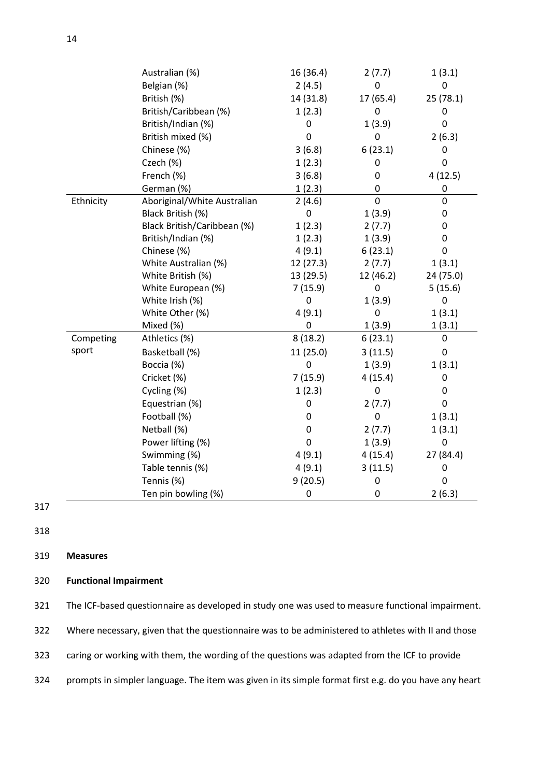|           | Australian (%)              | 16 (36.4) | 2(7.7)      | 1(3.1)           |
|-----------|-----------------------------|-----------|-------------|------------------|
|           | Belgian (%)                 | 2(4.5)    | 0           | 0                |
|           | British (%)                 | 14 (31.8) | 17 (65.4)   | 25 (78.1)        |
|           | British/Caribbean (%)       | 1(2.3)    | $\mathbf 0$ | 0                |
|           | British/Indian (%)          | 0         | 1(3.9)      | 0                |
|           | British mixed (%)           | 0         | 0           | 2(6.3)           |
|           | Chinese (%)                 | 3(6.8)    | 6(23.1)     | 0                |
|           | Czech (%)                   | 1(2.3)    | 0           | 0                |
|           | French (%)                  | 3(6.8)    | 0           | 4(12.5)          |
|           | German (%)                  | 1(2.3)    | $\pmb{0}$   | $\pmb{0}$        |
| Ethnicity | Aboriginal/White Australian | 2(4.6)    | $\mathbf 0$ | 0                |
|           | Black British (%)           | 0         | 1(3.9)      | 0                |
|           | Black British/Caribbean (%) | 1(2.3)    | 2(7.7)      | 0                |
|           | British/Indian (%)          | 1(2.3)    | 1(3.9)      | 0                |
|           | Chinese (%)                 | 4(9.1)    | 6(23.1)     | 0                |
|           | White Australian (%)        | 12(27.3)  | 2(7.7)      | 1(3.1)           |
|           | White British (%)           | 13 (29.5) | 12 (46.2)   | 24 (75.0)        |
|           | White European (%)          | 7(15.9)   | 0           | 5(15.6)          |
|           | White Irish (%)             | 0         | 1(3.9)      | 0                |
|           | White Other (%)             | 4(9.1)    | 0           | 1(3.1)           |
|           | Mixed (%)                   | 0         | 1(3.9)      | 1(3.1)           |
| Competing | Athletics (%)               | 8(18.2)   | 6(23.1)     | 0                |
| sport     | Basketball (%)              | 11 (25.0) | 3(11.5)     | 0                |
|           | Boccia (%)                  | 0         | 1(3.9)      | 1(3.1)           |
|           | Cricket (%)                 | 7(15.9)   | 4(15.4)     | 0                |
|           | Cycling (%)                 | 1(2.3)    | $\pmb{0}$   | 0                |
|           | Equestrian (%)              | 0         | 2(7.7)      | $\mathbf 0$      |
|           | Football (%)                | 0         | $\mathbf 0$ | 1(3.1)           |
|           | Netball (%)                 | 0         | 2(7.7)      | 1(3.1)           |
|           | Power lifting (%)           | 0         | 1(3.9)      | $\boldsymbol{0}$ |
|           | Swimming (%)                | 4(9.1)    | 4(15.4)     | 27 (84.4)        |
|           | Table tennis (%)            | 4(9.1)    | 3(11.5)     | 0                |
|           | Tennis (%)                  | 9(20.5)   | 0           | 0                |
|           | Ten pin bowling (%)         | 0         | 0           | 2(6.3)           |

318

## 319 **Measures**

## 320 **Functional Impairment**

| 321 |  |  | The ICF-based questionnaire as developed in study one was used to measure functional impairment. |
|-----|--|--|--------------------------------------------------------------------------------------------------|
|-----|--|--|--------------------------------------------------------------------------------------------------|

- 322 Where necessary, given that the questionnaire was to be administered to athletes with II and those
- 323 caring or working with them, the wording of the questions was adapted from the ICF to provide
- 324 prompts in simpler language. The item was given in its simple format first e.g. do you have any heart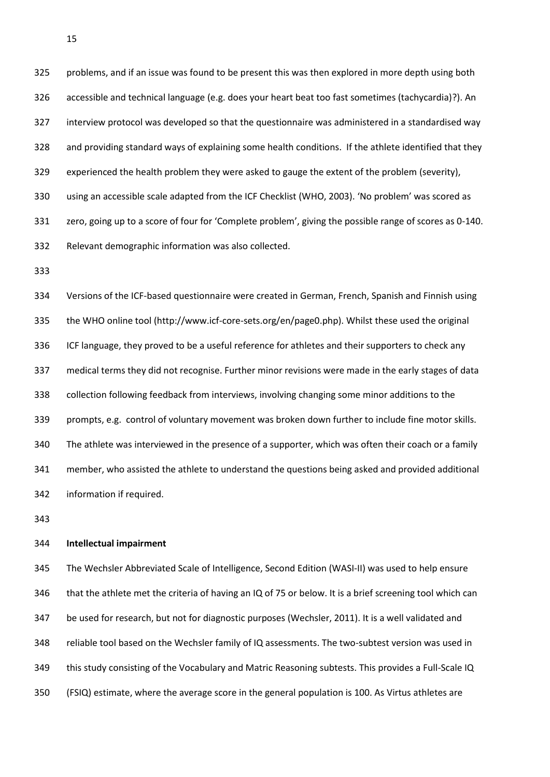problems, and if an issue was found to be present this was then explored in more depth using both accessible and technical language (e.g. does your heart beat too fast sometimes (tachycardia)?). An interview protocol was developed so that the questionnaire was administered in a standardised way and providing standard ways of explaining some health conditions. If the athlete identified that they experienced the health problem they were asked to gauge the extent of the problem (severity), using an accessible scale adapted from the ICF Checklist (WHO, 2003). 'No problem' was scored as zero, going up to a score of four for 'Complete problem', giving the possible range of scores as 0-140. Relevant demographic information was also collected.

 Versions of the ICF-based questionnaire were created in German, French, Spanish and Finnish using the WHO online tool (http://www.icf-core-sets.org/en/page0.php). Whilst these used the original ICF language, they proved to be a useful reference for athletes and their supporters to check any medical terms they did not recognise. Further minor revisions were made in the early stages of data collection following feedback from interviews, involving changing some minor additions to the prompts, e.g. control of voluntary movement was broken down further to include fine motor skills. The athlete was interviewed in the presence of a supporter, which was often their coach or a family member, who assisted the athlete to understand the questions being asked and provided additional information if required.

## **Intellectual impairment**

 The Wechsler Abbreviated Scale of Intelligence, Second Edition (WASI-II) was used to help ensure that the athlete met the criteria of having an IQ of 75 or below. It is a brief screening tool which can be used for research, but not for diagnostic purposes (Wechsler, 2011). It is a well validated and reliable tool based on the Wechsler family of IQ assessments. The two-subtest version was used in this study consisting of the Vocabulary and Matric Reasoning subtests. This provides a Full-Scale IQ (FSIQ) estimate, where the average score in the general population is 100. As Virtus athletes are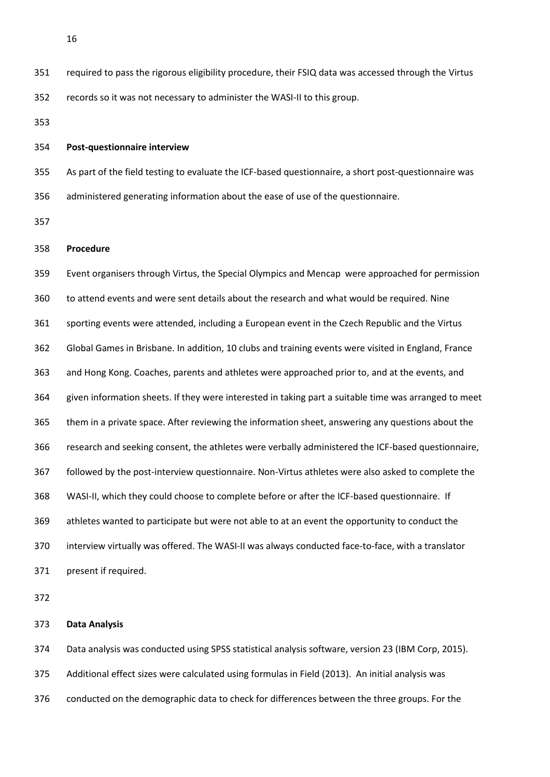required to pass the rigorous eligibility procedure, their FSIQ data was accessed through the Virtus records so it was not necessary to administer the WASI-II to this group.

## **Post-questionnaire interview**

 As part of the field testing to evaluate the ICF-based questionnaire, a short post-questionnaire was administered generating information about the ease of use of the questionnaire.

## **Procedure**

 Event organisers through Virtus, the Special Olympics and Mencap were approached for permission to attend events and were sent details about the research and what would be required. Nine sporting events were attended, including a European event in the Czech Republic and the Virtus Global Games in Brisbane. In addition, 10 clubs and training events were visited in England, France and Hong Kong. Coaches, parents and athletes were approached prior to, and at the events, and given information sheets. If they were interested in taking part a suitable time was arranged to meet them in a private space. After reviewing the information sheet, answering any questions about the research and seeking consent, the athletes were verbally administered the ICF-based questionnaire, followed by the post-interview questionnaire. Non-Virtus athletes were also asked to complete the WASI-II, which they could choose to complete before or after the ICF-based questionnaire. If athletes wanted to participate but were not able to at an event the opportunity to conduct the interview virtually was offered. The WASI-II was always conducted face-to-face, with a translator present if required.

## **Data Analysis**

 Data analysis was conducted using SPSS statistical analysis software, version 23 (IBM Corp, 2015). Additional effect sizes were calculated using formulas in Field (2013). An initial analysis was conducted on the demographic data to check for differences between the three groups. For the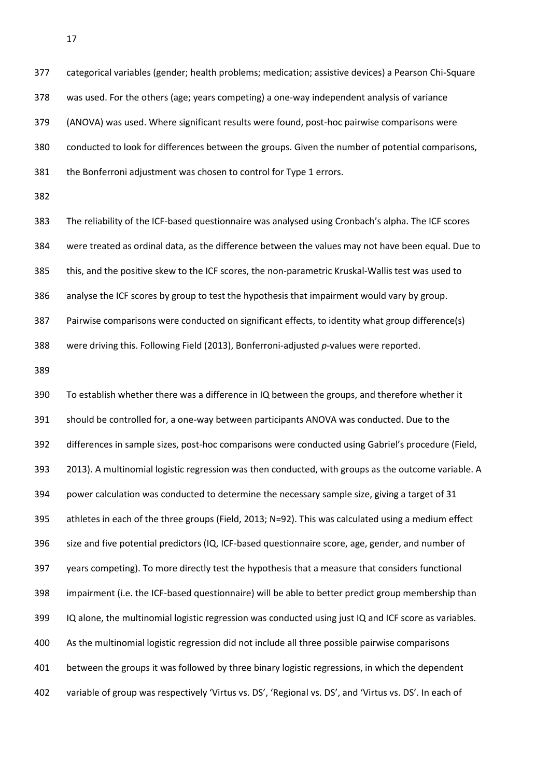categorical variables (gender; health problems; medication; assistive devices) a Pearson Chi-Square was used. For the others (age; years competing) a one-way independent analysis of variance (ANOVA) was used. Where significant results were found, post-hoc pairwise comparisons were conducted to look for differences between the groups. Given the number of potential comparisons, the Bonferroni adjustment was chosen to control for Type 1 errors.

 The reliability of the ICF-based questionnaire was analysed using Cronbach's alpha. The ICF scores were treated as ordinal data, as the difference between the values may not have been equal. Due to this, and the positive skew to the ICF scores, the non-parametric Kruskal-Wallis test was used to analyse the ICF scores by group to test the hypothesis that impairment would vary by group. Pairwise comparisons were conducted on significant effects, to identity what group difference(s)

were driving this. Following Field (2013), Bonferroni-adjusted *p*-values were reported.

 To establish whether there was a difference in IQ between the groups, and therefore whether it should be controlled for, a one-way between participants ANOVA was conducted. Due to the differences in sample sizes, post-hoc comparisons were conducted using Gabriel's procedure (Field, 2013). A multinomial logistic regression was then conducted, with groups as the outcome variable. A power calculation was conducted to determine the necessary sample size, giving a target of 31 athletes in each of the three groups (Field, 2013; N=92). This was calculated using a medium effect size and five potential predictors (IQ, ICF-based questionnaire score, age, gender, and number of years competing). To more directly test the hypothesis that a measure that considers functional impairment (i.e. the ICF-based questionnaire) will be able to better predict group membership than IQ alone, the multinomial logistic regression was conducted using just IQ and ICF score as variables. As the multinomial logistic regression did not include all three possible pairwise comparisons between the groups it was followed by three binary logistic regressions, in which the dependent variable of group was respectively 'Virtus vs. DS', 'Regional vs. DS', and 'Virtus vs. DS'. In each of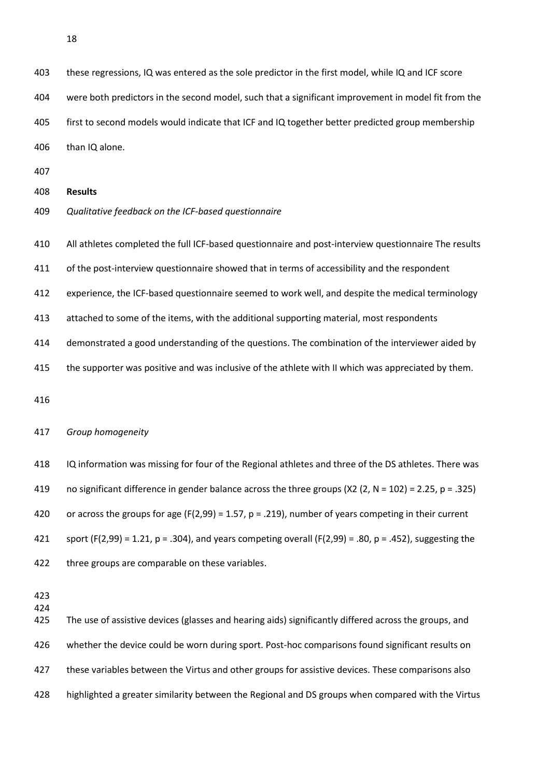these regressions, IQ was entered as the sole predictor in the first model, while IQ and ICF score were both predictors in the second model, such that a significant improvement in model fit from the first to second models would indicate that ICF and IQ together better predicted group membership than IQ alone.

- 
- **Results**
- *Qualitative feedback on the ICF-based questionnaire*
- All athletes completed the full ICF-based questionnaire and post-interview questionnaire The results
- of the post-interview questionnaire showed that in terms of accessibility and the respondent
- experience, the ICF-based questionnaire seemed to work well, and despite the medical terminology
- attached to some of the items, with the additional supporting material, most respondents
- demonstrated a good understanding of the questions. The combination of the interviewer aided by
- 415 the supporter was positive and was inclusive of the athlete with II which was appreciated by them.

#### *Group homogeneity*

 IQ information was missing for four of the Regional athletes and three of the DS athletes. There was no significant difference in gender balance across the three groups (X2 (2, N = 102) = 2.25, p = .325) or across the groups for age (F(2,99) = 1.57, p = .219), number of years competing in their current 421 sport (F(2,99) = 1.21, p = .304), and years competing overall (F(2,99) = .80, p = .452), suggesting the three groups are comparable on these variables.

 

 The use of assistive devices (glasses and hearing aids) significantly differed across the groups, and whether the device could be worn during sport. Post-hoc comparisons found significant results on 427 these variables between the Virtus and other groups for assistive devices. These comparisons also highlighted a greater similarity between the Regional and DS groups when compared with the Virtus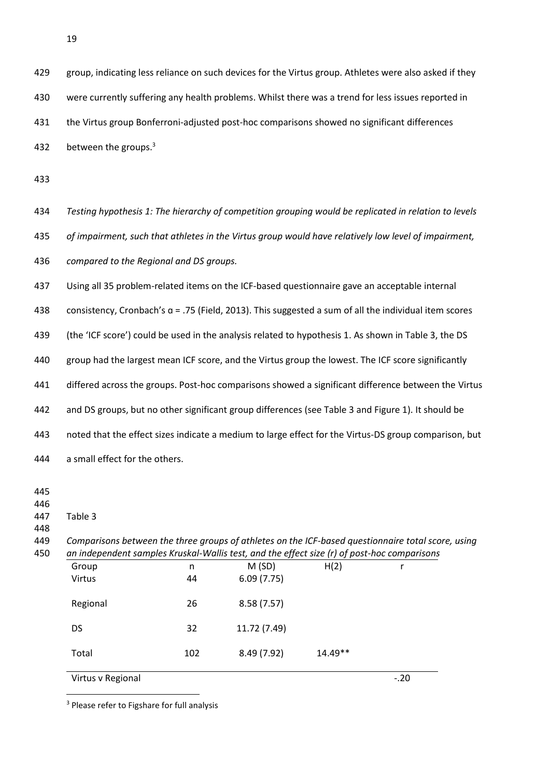group, indicating less reliance on such devices for the Virtus group. Athletes were also asked if they were currently suffering any health problems. Whilst there was a trend for less issues reported in the Virtus group Bonferroni-adjusted post-hoc comparisons showed no significant differences 432 between the groups.<sup>3</sup>

 *Testing hypothesis 1: The hierarchy of competition grouping would be replicated in relation to levels of impairment, such that athletes in the Virtus group would have relatively low level of impairment, compared to the Regional and DS groups.*  Using all 35 problem-related items on the ICF-based questionnaire gave an acceptable internal

 consistency, Cronbach's ɑ = .75 (Field, 2013). This suggested a sum of all the individual item scores (the 'ICF score') could be used in the analysis related to hypothesis 1. As shown in Table 3, the DS group had the largest mean ICF score, and the Virtus group the lowest. The ICF score significantly differed across the groups. Post-hoc comparisons showed a significant difference between the Virtus and DS groups, but no other significant group differences (see Table 3 and Figure 1). It should be noted that the effect sizes indicate a medium to large effect for the Virtus-DS group comparison, but

a small effect for the others.

Table 3

**.** 

 *Comparisons between the three groups of athletes on the ICF-based questionnaire total score, using an independent samples Kruskal-Wallis test, and the effect size (r) of post-hoc comparisons*

| Regional<br><b>DS</b> | 26<br>32 | 8.58(7.57)<br>11.72 (7.49) |           |  |
|-----------------------|----------|----------------------------|-----------|--|
| Total                 | 102      | 8.49 (7.92)                | $14.49**$ |  |

Virtus v Regional -.20

<sup>3</sup> Please refer to Figshare for full analysis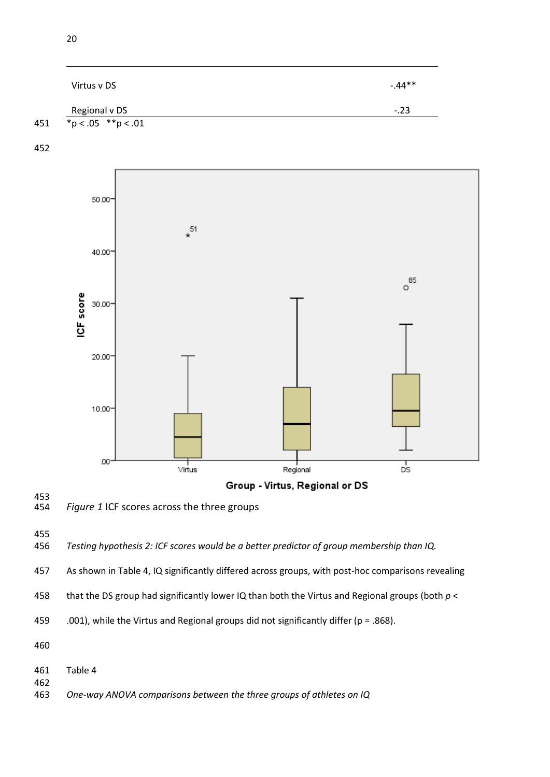|     | Virtus v DS              | $-.44**$ |
|-----|--------------------------|----------|
|     | Regional v DS            | $-.23$   |
| 451 | * $p < .05$ ** $p < .01$ |          |



# 453<br>454

Figure 1 ICF scores across the three groups

*Testing hypothesis 2: ICF scores would be a better predictor of group membership than IQ.*

As shown in Table 4, IQ significantly differed across groups, with post-hoc comparisons revealing

that the DS group had significantly lower IQ than both the Virtus and Regional groups (both *p* <

459 .001), while the Virtus and Regional groups did not significantly differ ( $p = .868$ ).

Table 4

*One-way ANOVA comparisons between the three groups of athletes on IQ*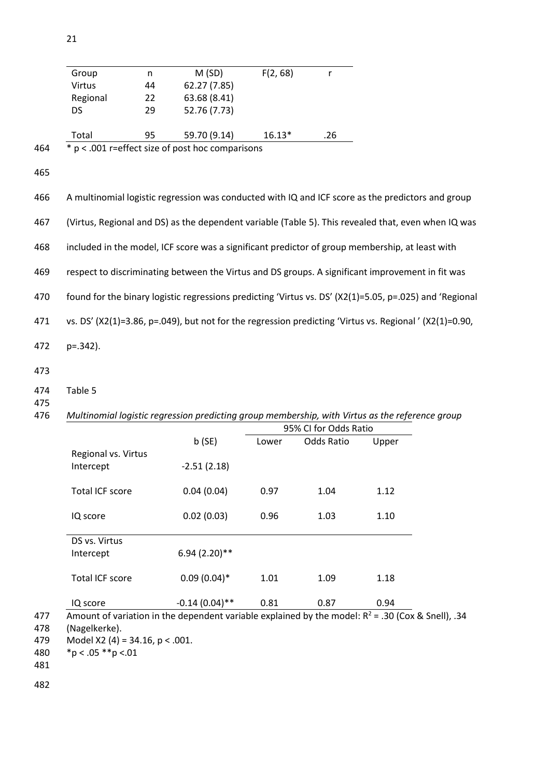| Group                  | n  | M(SD)                                                                                                   | F(2, 68) | $\mathsf{r}$          |       |  |
|------------------------|----|---------------------------------------------------------------------------------------------------------|----------|-----------------------|-------|--|
| Virtus                 | 44 | 62.27 (7.85)                                                                                            |          |                       |       |  |
| Regional               | 22 | 63.68 (8.41)                                                                                            |          |                       |       |  |
| <b>DS</b>              | 29 | 52.76 (7.73)                                                                                            |          |                       |       |  |
| Total                  | 95 | 59.70 (9.14)                                                                                            | $16.13*$ | .26                   |       |  |
|                        |    | * p < .001 r=effect size of post hoc comparisons                                                        |          |                       |       |  |
|                        |    |                                                                                                         |          |                       |       |  |
|                        |    | A multinomial logistic regression was conducted with IQ and ICF score as the predictors and group       |          |                       |       |  |
|                        |    | (Virtus, Regional and DS) as the dependent variable (Table 5). This revealed that, even when IQ was     |          |                       |       |  |
|                        |    | included in the model, ICF score was a significant predictor of group membership, at least with         |          |                       |       |  |
|                        |    | respect to discriminating between the Virtus and DS groups. A significant improvement in fit was        |          |                       |       |  |
|                        |    | found for the binary logistic regressions predicting 'Virtus vs. DS' (X2(1)=5.05, p=.025) and 'Regional |          |                       |       |  |
|                        |    | vs. DS' (X2(1)=3.86, p=.049), but not for the regression predicting 'Virtus vs. Regional' (X2(1)=0.90,  |          |                       |       |  |
| p=.342).               |    |                                                                                                         |          |                       |       |  |
|                        |    |                                                                                                         |          |                       |       |  |
| Table 5                |    |                                                                                                         |          |                       |       |  |
|                        |    | Multinomial logistic regression predicting group membership, with Virtus as the reference group         |          |                       |       |  |
|                        |    |                                                                                                         |          | 95% CI for Odds Ratio |       |  |
|                        |    | b(SE)                                                                                                   | Lower    | Odds Ratio            | Upper |  |
| Regional vs. Virtus    |    |                                                                                                         |          |                       |       |  |
| Intercept              |    | $-2.51(2.18)$                                                                                           |          |                       |       |  |
| Total ICF score        |    | 0.04(0.04)                                                                                              | 0.97     | 1.04                  | 1.12  |  |
| IQ score               |    | 0.02(0.03)                                                                                              | 0.96     | 1.03                  | 1.10  |  |
|                        |    |                                                                                                         |          |                       |       |  |
| DS vs. Virtus          |    |                                                                                                         |          |                       |       |  |
| Intercept              |    | 6.94 (2.20)**                                                                                           |          |                       |       |  |
| <b>Total ICF score</b> |    | $0.09(0.04)$ *                                                                                          | 1.01     | 1.09                  | 1.18  |  |
| IQ score               |    | $-0.14(0.04)$ **                                                                                        | 0.81     | 0.87                  | 0.94  |  |
|                        |    |                                                                                                         |          |                       |       |  |

Amount of variation in the dependent variable explained by the model:  $R^2$  = .30 (Cox & Snell), .34

478 (Nagelkerke).

479 Model X2 (4) = 34.16,  $p < .001$ .

480 \*p < .05 \*\*p <.01

481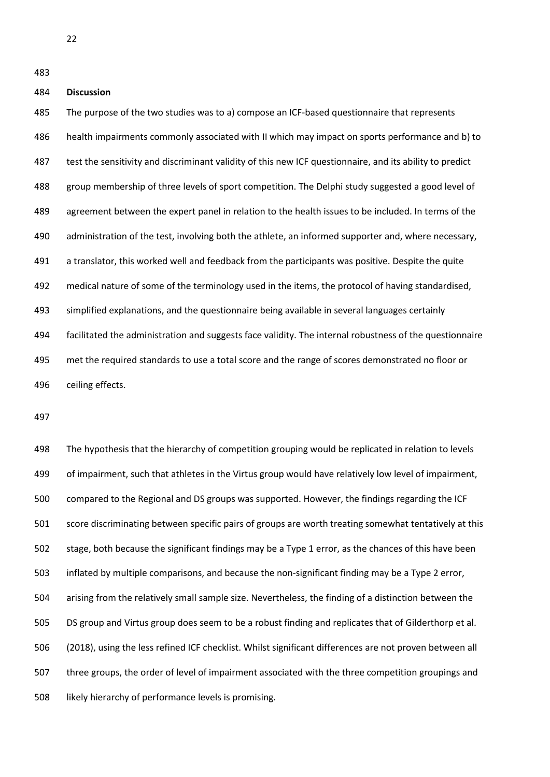## **Discussion**

 The purpose of the two studies was to a) compose an ICF-based questionnaire that represents health impairments commonly associated with II which may impact on sports performance and b) to test the sensitivity and discriminant validity of this new ICF questionnaire, and its ability to predict 488 group membership of three levels of sport competition. The Delphi study suggested a good level of agreement between the expert panel in relation to the health issues to be included. In terms of the administration of the test, involving both the athlete, an informed supporter and, where necessary, a translator, this worked well and feedback from the participants was positive. Despite the quite medical nature of some of the terminology used in the items, the protocol of having standardised, simplified explanations, and the questionnaire being available in several languages certainly facilitated the administration and suggests face validity. The internal robustness of the questionnaire met the required standards to use a total score and the range of scores demonstrated no floor or ceiling effects.

 The hypothesis that the hierarchy of competition grouping would be replicated in relation to levels of impairment, such that athletes in the Virtus group would have relatively low level of impairment, compared to the Regional and DS groups was supported. However, the findings regarding the ICF score discriminating between specific pairs of groups are worth treating somewhat tentatively at this stage, both because the significant findings may be a Type 1 error, as the chances of this have been inflated by multiple comparisons, and because the non-significant finding may be a Type 2 error, arising from the relatively small sample size. Nevertheless, the finding of a distinction between the DS group and Virtus group does seem to be a robust finding and replicates that of Gilderthorp et al. (2018), using the less refined ICF checklist. Whilst significant differences are not proven between all three groups, the order of level of impairment associated with the three competition groupings and likely hierarchy of performance levels is promising.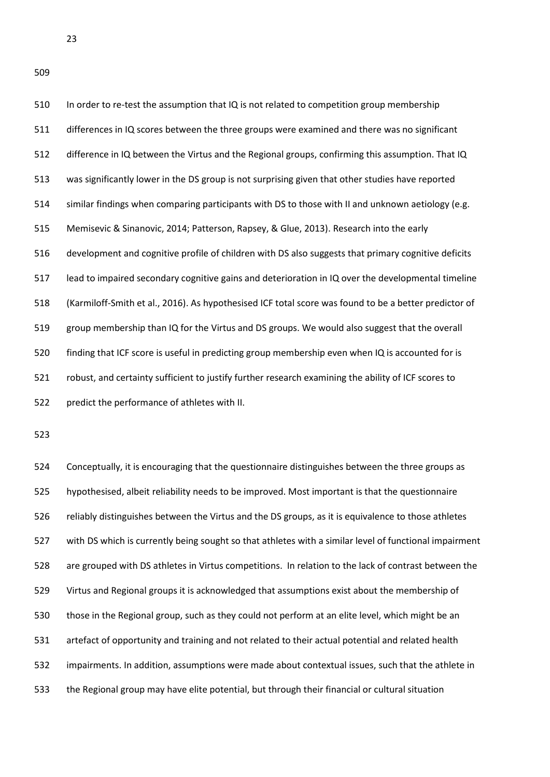510 In order to re-test the assumption that IQ is not related to competition group membership differences in IQ scores between the three groups were examined and there was no significant difference in IQ between the Virtus and the Regional groups, confirming this assumption. That IQ was significantly lower in the DS group is not surprising given that other studies have reported similar findings when comparing participants with DS to those with II and unknown aetiology (e.g. Memisevic & Sinanovic, 2014; Patterson, Rapsey, & Glue, 2013). Research into the early development and cognitive profile of children with DS also suggests that primary cognitive deficits lead to impaired secondary cognitive gains and deterioration in IQ over the developmental timeline (Karmiloff-Smith et al., 2016). As hypothesised ICF total score was found to be a better predictor of group membership than IQ for the Virtus and DS groups. We would also suggest that the overall finding that ICF score is useful in predicting group membership even when IQ is accounted for is robust, and certainty sufficient to justify further research examining the ability of ICF scores to predict the performance of athletes with II.

 Conceptually, it is encouraging that the questionnaire distinguishes between the three groups as hypothesised, albeit reliability needs to be improved. Most important is that the questionnaire reliably distinguishes between the Virtus and the DS groups, as it is equivalence to those athletes with DS which is currently being sought so that athletes with a similar level of functional impairment are grouped with DS athletes in Virtus competitions. In relation to the lack of contrast between the Virtus and Regional groups it is acknowledged that assumptions exist about the membership of those in the Regional group, such as they could not perform at an elite level, which might be an artefact of opportunity and training and not related to their actual potential and related health impairments. In addition, assumptions were made about contextual issues, such that the athlete in the Regional group may have elite potential, but through their financial or cultural situation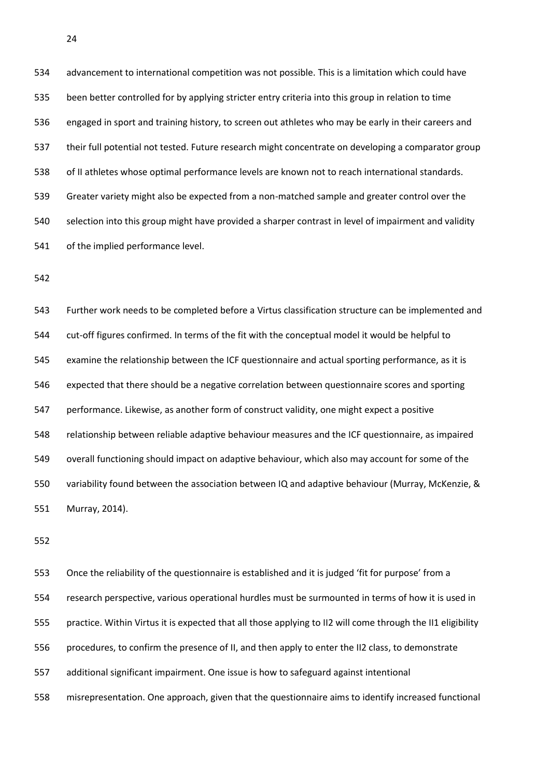advancement to international competition was not possible. This is a limitation which could have been better controlled for by applying stricter entry criteria into this group in relation to time engaged in sport and training history, to screen out athletes who may be early in their careers and their full potential not tested. Future research might concentrate on developing a comparator group of II athletes whose optimal performance levels are known not to reach international standards. Greater variety might also be expected from a non-matched sample and greater control over the selection into this group might have provided a sharper contrast in level of impairment and validity of the implied performance level.

 Further work needs to be completed before a Virtus classification structure can be implemented and cut-off figures confirmed. In terms of the fit with the conceptual model it would be helpful to examine the relationship between the ICF questionnaire and actual sporting performance, as it is expected that there should be a negative correlation between questionnaire scores and sporting performance. Likewise, as another form of construct validity, one might expect a positive relationship between reliable adaptive behaviour measures and the ICF questionnaire, as impaired overall functioning should impact on adaptive behaviour, which also may account for some of the variability found between the association between IQ and adaptive behaviour (Murray, McKenzie, & Murray, 2014).

 Once the reliability of the questionnaire is established and it is judged 'fit for purpose' from a research perspective, various operational hurdles must be surmounted in terms of how it is used in practice. Within Virtus it is expected that all those applying to II2 will come through the II1 eligibility procedures, to confirm the presence of II, and then apply to enter the II2 class, to demonstrate additional significant impairment. One issue is how to safeguard against intentional misrepresentation. One approach, given that the questionnaire aims to identify increased functional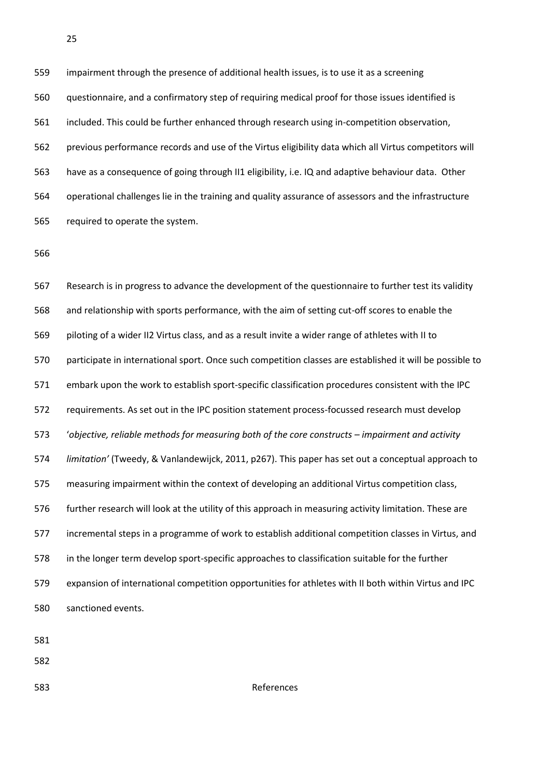impairment through the presence of additional health issues, is to use it as a screening questionnaire, and a confirmatory step of requiring medical proof for those issues identified is included. This could be further enhanced through research using in-competition observation, previous performance records and use of the Virtus eligibility data which all Virtus competitors will have as a consequence of going through II1 eligibility, i.e. IQ and adaptive behaviour data. Other operational challenges lie in the training and quality assurance of assessors and the infrastructure required to operate the system.

 Research is in progress to advance the development of the questionnaire to further test its validity and relationship with sports performance, with the aim of setting cut-off scores to enable the piloting of a wider II2 Virtus class, and as a result invite a wider range of athletes with II to participate in international sport. Once such competition classes are established it will be possible to embark upon the work to establish sport-specific classification procedures consistent with the IPC requirements. As set out in the IPC position statement process-focussed research must develop '*objective, reliable methods for measuring both of the core constructs – impairment and activity limitation'* (Tweedy, & Vanlandewijck, 2011, p267). This paper has set out a conceptual approach to measuring impairment within the context of developing an additional Virtus competition class, further research will look at the utility of this approach in measuring activity limitation. These are incremental steps in a programme of work to establish additional competition classes in Virtus, and in the longer term develop sport-specific approaches to classification suitable for the further expansion of international competition opportunities for athletes with II both within Virtus and IPC sanctioned events.

References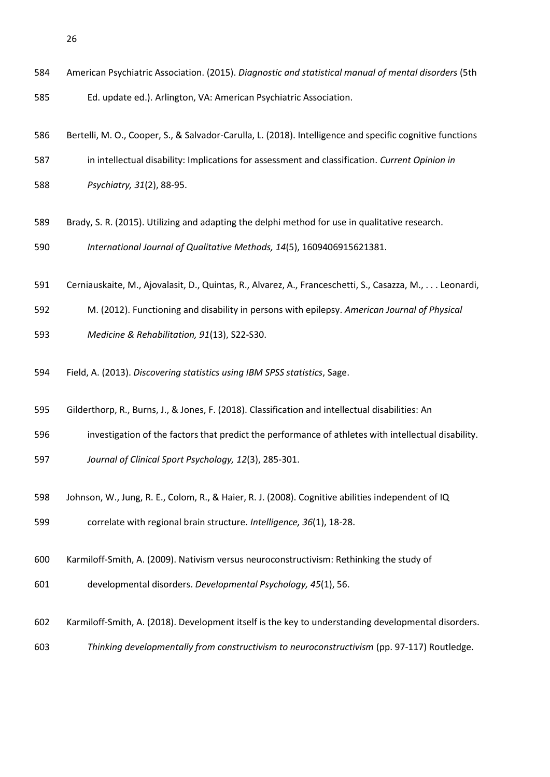|     | American Psychiatric Association. (2015). Diagnostic and statistical manual of mental disorders (5th      |
|-----|-----------------------------------------------------------------------------------------------------------|
| 585 | Ed. update ed.). Arlington, VA: American Psychiatric Association.                                         |
| 586 | Bertelli, M. O., Cooper, S., & Salvador-Carulla, L. (2018). Intelligence and specific cognitive functions |
| 587 | in intellectual disability: Implications for assessment and classification. Current Opinion in            |
| 588 | Psychiatry, 31(2), 88-95.                                                                                 |
| 589 | Brady, S. R. (2015). Utilizing and adapting the delphi method for use in qualitative research.            |
| 590 | International Journal of Qualitative Methods, 14(5), 1609406915621381.                                    |
| 591 | Cerniauskaite, M., Ajovalasit, D., Quintas, R., Alvarez, A., Franceschetti, S., Casazza, M., Leonardi,    |
| 592 | M. (2012). Functioning and disability in persons with epilepsy. American Journal of Physical              |
| 593 | Medicine & Rehabilitation, 91(13), S22-S30.                                                               |
| 594 | Field, A. (2013). Discovering statistics using IBM SPSS statistics, Sage.                                 |
| 595 | Gilderthorp, R., Burns, J., & Jones, F. (2018). Classification and intellectual disabilities: An          |
| 596 | investigation of the factors that predict the performance of athletes with intellectual disability.       |
| 597 | Journal of Clinical Sport Psychology, 12(3), 285-301.                                                     |
| 598 | Johnson, W., Jung, R. E., Colom, R., & Haier, R. J. (2008). Cognitive abilities independent of IQ         |
| 599 | correlate with regional brain structure. Intelligence, 36(1), 18-28.                                      |
| 600 | Karmiloff-Smith, A. (2009). Nativism versus neuroconstructivism: Rethinking the study of                  |
| 601 | developmental disorders. Developmental Psychology, 45(1), 56.                                             |
| 602 | Karmiloff-Smith, A. (2018). Development itself is the key to understanding developmental disorders.       |
| 603 | Thinking developmentally from constructivism to neuroconstructivism (pp. 97-117) Routledge.               |
|     |                                                                                                           |
|     |                                                                                                           |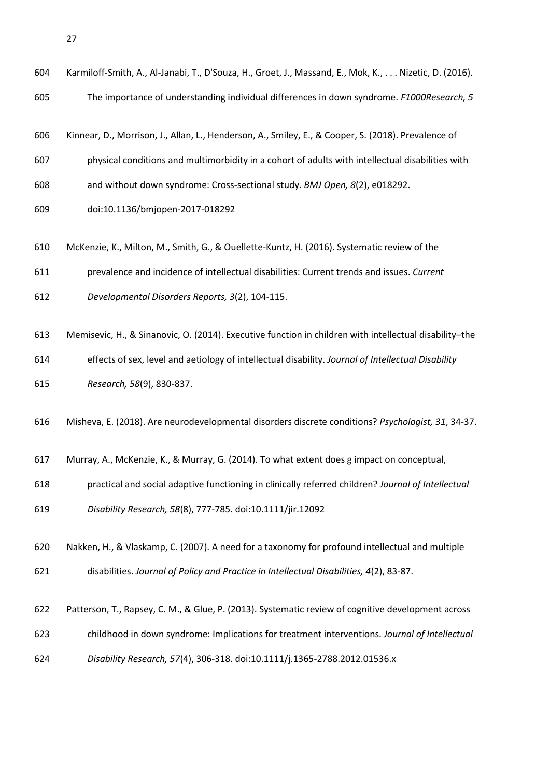| 604 | Karmiloff-Smith, A., Al-Janabi, T., D'Souza, H., Groet, J., Massand, E., Mok, K., Nizetic, D. (2016).  |
|-----|--------------------------------------------------------------------------------------------------------|
| 605 | The importance of understanding individual differences in down syndrome. F1000Research, 5              |
|     |                                                                                                        |
| 606 | Kinnear, D., Morrison, J., Allan, L., Henderson, A., Smiley, E., & Cooper, S. (2018). Prevalence of    |
| 607 | physical conditions and multimorbidity in a cohort of adults with intellectual disabilities with       |
| 608 | and without down syndrome: Cross-sectional study. BMJ Open, 8(2), e018292.                             |
| 609 | doi:10.1136/bmjopen-2017-018292                                                                        |
| 610 | McKenzie, K., Milton, M., Smith, G., & Ouellette-Kuntz, H. (2016). Systematic review of the            |
| 611 | prevalence and incidence of intellectual disabilities: Current trends and issues. Current              |
| 612 | Developmental Disorders Reports, 3(2), 104-115.                                                        |
|     |                                                                                                        |
| 613 | Memisevic, H., & Sinanovic, O. (2014). Executive function in children with intellectual disability-the |
| 614 | effects of sex, level and aetiology of intellectual disability. Journal of Intellectual Disability     |
| 615 | Research, 58(9), 830-837.                                                                              |
| 616 | Misheva, E. (2018). Are neurodevelopmental disorders discrete conditions? Psychologist, 31, 34-37.     |
| 617 | Murray, A., McKenzie, K., & Murray, G. (2014). To what extent does g impact on conceptual,             |
| 618 | practical and social adaptive functioning in clinically referred children? Journal of Intellectual     |
| 619 | Disability Research, 58(8), 777-785. doi:10.1111/jir.12092                                             |
| 620 | Nakken, H., & Vlaskamp, C. (2007). A need for a taxonomy for profound intellectual and multiple        |
| 621 | disabilities. Journal of Policy and Practice in Intellectual Disabilities, 4(2), 83-87.                |
| 622 | Patterson, T., Rapsey, C. M., & Glue, P. (2013). Systematic review of cognitive development across     |
| 623 | childhood in down syndrome: Implications for treatment interventions. Journal of Intellectual          |
|     |                                                                                                        |
| 624 | Disability Research, 57(4), 306-318. doi:10.1111/j.1365-2788.2012.01536.x                              |
|     |                                                                                                        |
|     |                                                                                                        |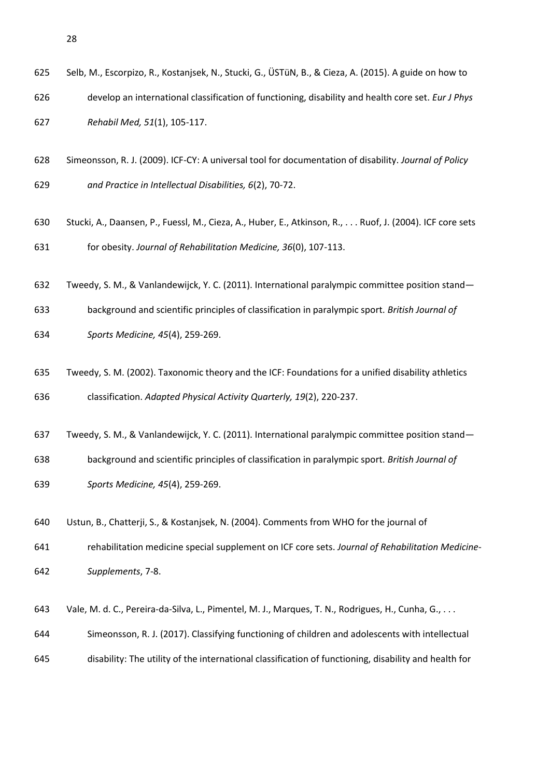| 627 | Rehabil Med, 51(1), 105-117.                                                                            |
|-----|---------------------------------------------------------------------------------------------------------|
| 628 | Simeonsson, R. J. (2009). ICF-CY: A universal tool for documentation of disability. Journal of Policy   |
| 629 | and Practice in Intellectual Disabilities, 6(2), 70-72.                                                 |
| 630 | Stucki, A., Daansen, P., Fuessl, M., Cieza, A., Huber, E., Atkinson, R., Ruof, J. (2004). ICF core sets |
| 631 | for obesity. Journal of Rehabilitation Medicine, 36(0), 107-113.                                        |
| 632 | Tweedy, S. M., & Vanlandewijck, Y. C. (2011). International paralympic committee position stand-        |
| 633 | background and scientific principles of classification in paralympic sport. British Journal of          |
| 634 | Sports Medicine, 45(4), 259-269.                                                                        |
| 635 | Tweedy, S. M. (2002). Taxonomic theory and the ICF: Foundations for a unified disability athletics      |
| 636 | classification. Adapted Physical Activity Quarterly, 19(2), 220-237.                                    |
| 637 | Tweedy, S. M., & Vanlandewijck, Y. C. (2011). International paralympic committee position stand-        |
| 638 | background and scientific principles of classification in paralympic sport. British Journal of          |
| 639 | Sports Medicine, 45(4), 259-269.                                                                        |
| 640 | Ustun, B., Chatterji, S., & Kostanjsek, N. (2004). Comments from WHO for the journal of                 |
| 641 | rehabilitation medicine special supplement on ICF core sets. Journal of Rehabilitation Medicine-        |
| 642 | Supplements, 7-8.                                                                                       |
| 643 | Vale, M. d. C., Pereira-da-Silva, L., Pimentel, M. J., Marques, T. N., Rodrigues, H., Cunha, G.,        |
| 644 | Simeonsson, R. J. (2017). Classifying functioning of children and adolescents with intellectual         |
| 645 | disability: The utility of the international classification of functioning, disability and health for   |
|     |                                                                                                         |
|     |                                                                                                         |
|     |                                                                                                         |
|     |                                                                                                         |

Selb, M., Escorpizo, R., Kostanjsek, N., Stucki, G., ÜSTüN, B., & Cieza, A. (2015). A guide on how to

develop an international classification of functioning, disability and health core set. *Eur J Phys*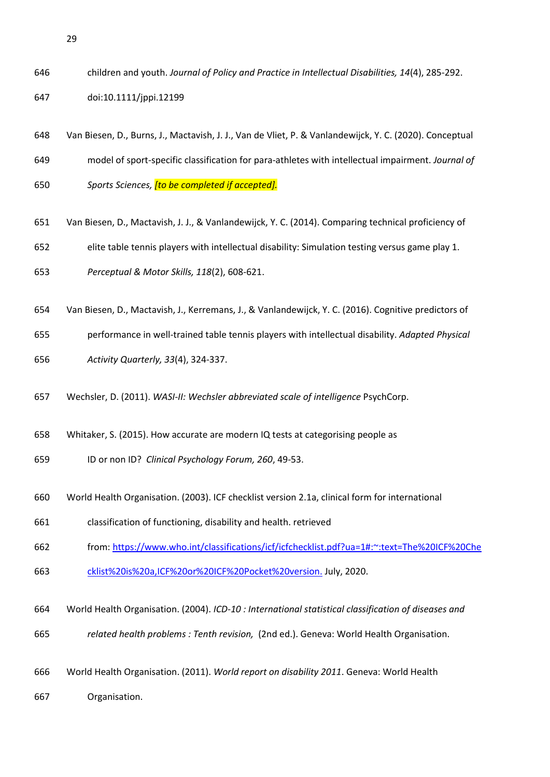children and youth. *Journal of Policy and Practice in Intellectual Disabilities, 14*(4), 285-292.

doi:10.1111/jppi.12199

- Van Biesen, D., Burns, J., Mactavish, J. J., Van de Vliet, P. & Vanlandewijck, Y. C. (2020). Conceptual model of sport-specific classification for para-athletes with intellectual impairment. *Journal of Sports Sciences, [to be completed if accepted].*
- Van Biesen, D., Mactavish, J. J., & Vanlandewijck, Y. C. (2014). Comparing technical proficiency of
- elite table tennis players with intellectual disability: Simulation testing versus game play 1.
- *Perceptual & Motor Skills, 118*(2), 608-621.
- Van Biesen, D., Mactavish, J., Kerremans, J., & Vanlandewijck, Y. C. (2016). Cognitive predictors of
- performance in well-trained table tennis players with intellectual disability. *Adapted Physical*
- *Activity Quarterly, 33*(4), 324-337.
- Wechsler, D. (2011). *WASI-II: Wechsler abbreviated scale of intelligence* PsychCorp.
- Whitaker, S. (2015). How accurate are modern IQ tests at categorising people as
- ID or non ID? *Clinical Psychology Forum, 260*, 49-53.
- World Health Organisation. (2003). ICF checklist version 2.1a, clinical form for international
- classification of functioning, disability and health. retrieved
- from: [https://www.who.int/classifications/icf/icfchecklist.pdf?ua=1#:~:text=The%20ICF%20Che](https://www.who.int/classifications/icf/icfchecklist.pdf?ua=1#:~:text=The%20ICF%20Checklist%20is%20a,ICF%20or%20ICF%20Pocket%20version.)
- [cklist%20is%20a,ICF%20or%20ICF%20Pocket%20version.](https://www.who.int/classifications/icf/icfchecklist.pdf?ua=1#:~:text=The%20ICF%20Checklist%20is%20a,ICF%20or%20ICF%20Pocket%20version.) July, 2020.
- World Health Organisation. (2004). *ICD-10 : International statistical classification of diseases and*
- *related health problems : Tenth revision,* (2nd ed.). Geneva: World Health Organisation.
- World Health Organisation. (2011). *World report on disability 2011*. Geneva: World Health
- Organisation.